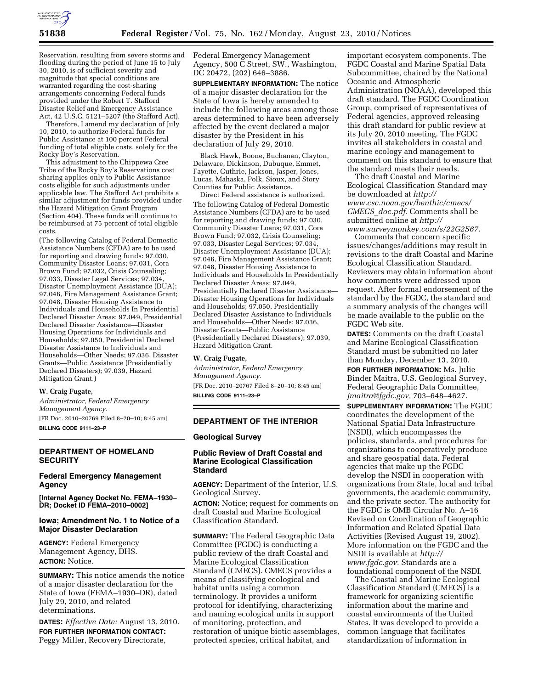

Reservation, resulting from severe storms and flooding during the period of June 15 to July 30, 2010, is of sufficient severity and magnitude that special conditions are warranted regarding the cost-sharing arrangements concerning Federal funds provided under the Robert T. Stafford Disaster Relief and Emergency Assistance Act, 42 U.S.C. 5121–5207 (the Stafford Act).

Therefore, I amend my declaration of July 10, 2010, to authorize Federal funds for Public Assistance at 100 percent Federal funding of total eligible costs, solely for the Rocky Boy's Reservation.

This adjustment to the Chippewa Cree Tribe of the Rocky Boy's Reservations cost sharing applies only to Public Assistance costs eligible for such adjustments under applicable law. The Stafford Act prohibits a similar adjustment for funds provided under the Hazard Mitigation Grant Program (Section 404). These funds will continue to be reimbursed at 75 percent of total eligible costs.

(The following Catalog of Federal Domestic Assistance Numbers (CFDA) are to be used for reporting and drawing funds: 97.030, Community Disaster Loans; 97.031, Cora Brown Fund; 97.032, Crisis Counseling; 97.033, Disaster Legal Services; 97.034, Disaster Unemployment Assistance (DUA); 97.046, Fire Management Assistance Grant; 97.048, Disaster Housing Assistance to Individuals and Households In Presidential Declared Disaster Areas; 97.049, Presidential Declared Disaster Assistance—Disaster Housing Operations for Individuals and Households; 97.050, Presidential Declared Disaster Assistance to Individuals and Households—Other Needs; 97.036, Disaster Grants—Public Assistance (Presidentially Declared Disasters); 97.039, Hazard Mitigation Grant.)

#### **W. Craig Fugate,**

*Administrator, Federal Emergency Management Agency.*  [FR Doc. 2010–20769 Filed 8–20–10; 8:45 am] **BILLING CODE 9111–23–P** 

### **DEPARTMENT OF HOMELAND SECURITY**

## **Federal Emergency Management Agency**

**[Internal Agency Docket No. FEMA–1930– DR; Docket ID FEMA–2010–0002]** 

## **Iowa; Amendment No. 1 to Notice of a Major Disaster Declaration**

**AGENCY:** Federal Emergency Management Agency, DHS. **ACTION:** Notice.

**SUMMARY:** This notice amends the notice of a major disaster declaration for the State of Iowa (FEMA–1930–DR), dated July 29, 2010, and related determinations.

**DATES:** *Effective Date:* August 13, 2010. **FOR FURTHER INFORMATION CONTACT:**  Peggy Miller, Recovery Directorate,

Federal Emergency Management Agency, 500 C Street, SW., Washington, DC 20472, (202) 646–3886.

**SUPPLEMENTARY INFORMATION:** The notice of a major disaster declaration for the State of Iowa is hereby amended to include the following areas among those areas determined to have been adversely affected by the event declared a major disaster by the President in his declaration of July 29, 2010.

Black Hawk, Boone, Buchanan, Clayton, Delaware, Dickinson, Dubuque, Emmet, Fayette, Guthrie, Jackson, Jasper, Jones, Lucas, Mahaska, Polk, Sioux, and Story Counties for Public Assistance.

Direct Federal assistance is authorized. The following Catalog of Federal Domestic Assistance Numbers (CFDA) are to be used for reporting and drawing funds: 97.030, Community Disaster Loans; 97.031, Cora Brown Fund; 97.032, Crisis Counseling; 97.033, Disaster Legal Services; 97.034, Disaster Unemployment Assistance (DUA); 97.046, Fire Management Assistance Grant; 97.048, Disaster Housing Assistance to Individuals and Households In Presidentially Declared Disaster Areas; 97.049, Presidentially Declared Disaster Assistance— Disaster Housing Operations for Individuals and Households; 97.050, Presidentially Declared Disaster Assistance to Individuals and Households—Other Needs; 97.036, Disaster Grants—Public Assistance (Presidentially Declared Disasters); 97.039, Hazard Mitigation Grant.

## **W. Craig Fugate,**

*Administrator, Federal Emergency Management Agency.*  [FR Doc. 2010–20767 Filed 8–20–10; 8:45 am] **BILLING CODE 9111–23–P** 

## **DEPARTMENT OF THE INTERIOR**

#### **Geological Survey**

# **Public Review of Draft Coastal and Marine Ecological Classification Standard**

**AGENCY:** Department of the Interior, U.S. Geological Survey.

**ACTION:** Notice; request for comments on draft Coastal and Marine Ecological Classification Standard.

**SUMMARY:** The Federal Geographic Data Committee (FGDC) is conducting a public review of the draft Coastal and Marine Ecological Classification Standard (CMECS). CMECS provides a means of classifying ecological and habitat units using a common terminology. It provides a uniform protocol for identifying, characterizing and naming ecological units in support of monitoring, protection, and restoration of unique biotic assemblages, protected species, critical habitat, and

important ecosystem components. The FGDC Coastal and Marine Spatial Data Subcommittee, chaired by the National Oceanic and Atmospheric Administration (NOAA), developed this draft standard. The FGDC Coordination Group, comprised of representatives of Federal agencies, approved releasing this draft standard for public review at its July 20, 2010 meeting. The FGDC invites all stakeholders in coastal and marine ecology and management to comment on this standard to ensure that the standard meets their needs.

The draft Coastal and Marine Ecological Classification Standard may be downloaded at *[http://](http://www.csc.noaa.gov/benthic/cmecs/CMECS_doc.pdf) [www.csc.noaa.gov/benthic/cmecs/](http://www.csc.noaa.gov/benthic/cmecs/CMECS_doc.pdf)  CMECS*\_*[doc.pdf.](http://www.csc.noaa.gov/benthic/cmecs/CMECS_doc.pdf)* Comments shall be submitted online at *[http://](http://www.surveymonkey.com/s/22G2S67) [www.surveymonkey.com/s/22G2S67.](http://www.surveymonkey.com/s/22G2S67)* 

Comments that concern specific issues/changes/additions may result in revisions to the draft Coastal and Marine Ecological Classification Standard. Reviewers may obtain information about how comments were addressed upon request. After formal endorsement of the standard by the FGDC, the standard and a summary analysis of the changes will be made available to the public on the FGDC Web site.

**DATES:** Comments on the draft Coastal and Marine Ecological Classification Standard must be submitted no later than Monday, December 13, 2010.

**FOR FURTHER INFORMATION: Ms. Julie** Binder Maitra, U.S. Geological Survey, Federal Geographic Data Committee, *[jmaitra@fgdc.gov,](mailto:jmaitra@fgdc.gov)* 703–648–4627.

**SUPPLEMENTARY INFORMATION:** The FGDC coordinates the development of the National Spatial Data Infrastructure (NSDI), which encompasses the policies, standards, and procedures for organizations to cooperatively produce and share geospatial data. Federal agencies that make up the FGDC develop the NSDI in cooperation with organizations from State, local and tribal governments, the academic community, and the private sector. The authority for the FGDC is OMB Circular No. A–16 Revised on Coordination of Geographic Information and Related Spatial Data Activities (Revised August 19, 2002). More information on the FGDC and the NSDI is available at *[http://](http://www.fgdc.gov)  [www.fgdc.gov.](http://www.fgdc.gov)* Standards are a foundational component of the NSDI.

The Coastal and Marine Ecological Classification Standard (CMECS) is a framework for organizing scientific information about the marine and coastal environments of the United States. It was developed to provide a common language that facilitates standardization of information in